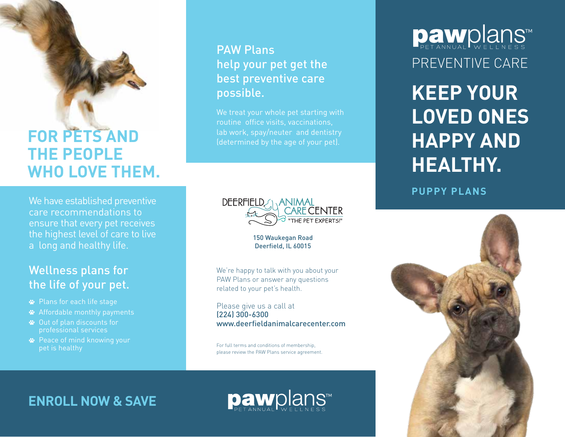## **FOR PETS AND THE PEOPLE WHO LOVE THEM.**

We have established preventive care recommendations to ensure that every pet receives the highest level of care to live a long and healthy life.

## Wellness plans for the life of your pet.

- Plans for each life stage
- Affordable monthly payments
- Out of plan discounts for professional services
- Peace of mind knowing your pet is healthy

## PAW Plans help your pet get the best preventive care possible.

We treat your whole pet starting with routine office visits, vaccinations, lab work, spay/neuter and dentistry (determined by the age of your pet).



150 Waukegan Road Deerfield, IL 60015

We're happy to talk with you about your PAW Plans or answer any questions related to your pet's health.

Please give us a call at (224) 300-6300 www.deerfieldanimalcarecenter.com

For full terms and conditions of membership, please review the PAW Plans service agreement. **Daw**plans™ PREVENTIVE CARE

**KEEP YOUR LOVED ONES HAPPY AND HEALTHY.**

**PUPPY PLANS**



**ENROLL NOW & SAVE**